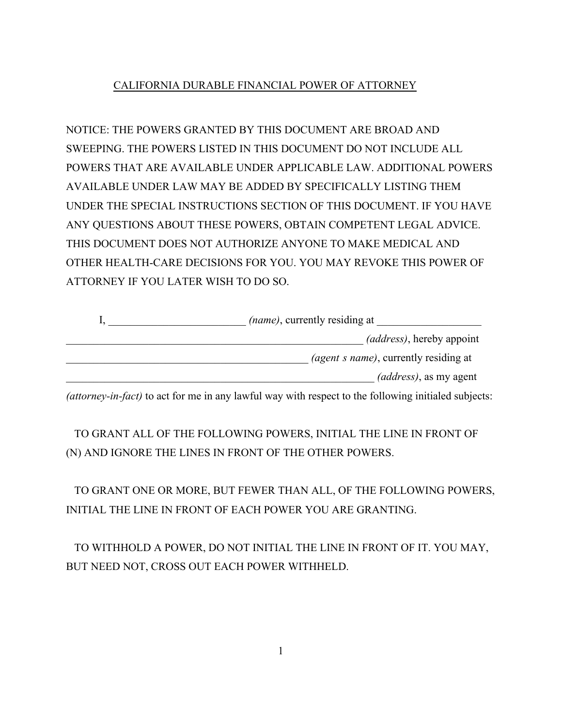# CALIFORNIA DURABLE FINANCIAL POWER OF ATTORNEY

NOTICE: THE POWERS GRANTED BY THIS DOCUMENT ARE BROAD AND SWEEPING. THE POWERS LISTED IN THIS DOCUMENT DO NOT INCLUDE ALL POWERS THAT ARE AVAILABLE UNDER APPLICABLE LAW. ADDITIONAL POWERS AVAILABLE UNDER LAW MAY BE ADDED BY SPECIFICALLY LISTING THEM UNDER THE SPECIAL INSTRUCTIONS SECTION OF THIS DOCUMENT. IF YOU HAVE ANY QUESTIONS ABOUT THESE POWERS, OBTAIN COMPETENT LEGAL ADVICE. THIS DOCUMENT DOES NOT AUTHORIZE ANYONE TO MAKE MEDICAL AND OTHER HEALTH-CARE DECISIONS FOR YOU. YOU MAY REVOKE THIS POWER OF ATTORNEY IF YOU LATER WISH TO DO SO.

| <i>(name)</i> , currently residing at         |
|-----------------------------------------------|
| <i>(address)</i> , hereby appoint             |
| <i>(agent s name)</i> , currently residing at |
| (address), as my agent                        |

*(attorney-in-fact)* to act for me in any lawful way with respect to the following initialed subjects:

TO GRANT ALL OF THE FOLLOWING POWERS, INITIAL THE LINE IN FRONT OF (N) AND IGNORE THE LINES IN FRONT OF THE OTHER POWERS.

TO GRANT ONE OR MORE, BUT FEWER THAN ALL, OF THE FOLLOWING POWERS, INITIAL THE LINE IN FRONT OF EACH POWER YOU ARE GRANTING.

TO WITHHOLD A POWER, DO NOT INITIAL THE LINE IN FRONT OF IT. YOU MAY, BUT NEED NOT, CROSS OUT EACH POWER WITHHELD.

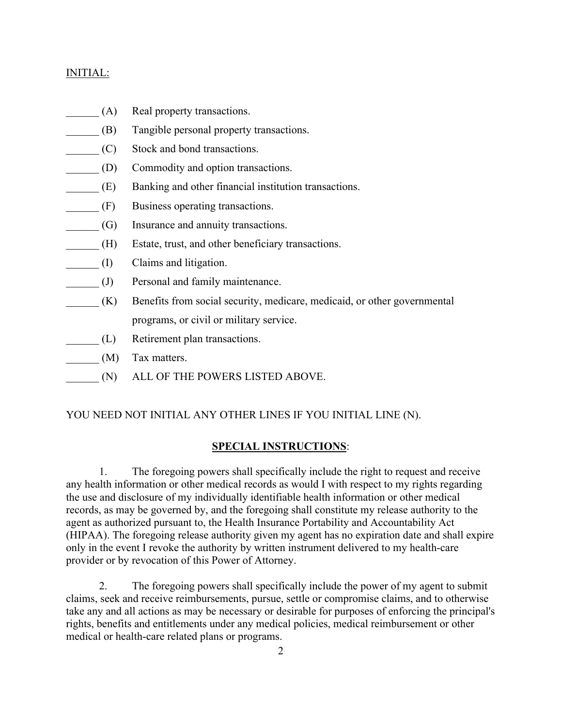### INITIAL:

- (A) Real property transactions.
- \_\_\_\_\_\_ (B) Tangible personal property transactions.
- \_\_\_\_\_\_ (C) Stock and bond transactions.
- \_\_\_\_\_\_ (D) Commodity and option transactions.
- \_\_\_\_\_\_ (E) Banking and other financial institution transactions.
- \_\_\_\_\_\_ (F) Business operating transactions.
- \_\_\_\_\_\_ (G) Insurance and annuity transactions.
- \_\_\_\_\_\_ (H) Estate, trust, and other beneficiary transactions.
- \_\_\_\_\_\_ (I) Claims and litigation.
- \_\_\_\_\_\_ (J) Personal and family maintenance.
- \_\_\_\_\_\_ (K) Benefits from social security, medicare, medicaid, or other governmental programs, or civil or military service.
- \_\_\_\_\_\_ (L) Retirement plan transactions.
- \_\_\_\_\_\_ (M) Tax matters.
- \_\_\_\_\_\_ (N) ALL OF THE POWERS LISTED ABOVE.

# YOU NEED NOT INITIAL ANY OTHER LINES IF YOU INITIAL LINE (N).

# **SPECIAL INSTRUCTIONS**:

1. The foregoing powers shall specifically include the right to request and receive any health information or other medical records as would I with respect to my rights regarding the use and disclosure of my individually identifiable health information or other medical records, as may be governed by, and the foregoing shall constitute my release authority to the agent as authorized pursuant to, the Health Insurance Portability and Accountability Act (HIPAA). The foregoing release authority given my agent has no expiration date and shall expire only in the event I revoke the authority by written instrument delivered to my health-care provider or by revocation of this Power of Attorney.

2. The foregoing powers shall specifically include the power of my agent to submit claims, seek and receive reimbursements, pursue, settle or compromise claims, and to otherwise take any and all actions as may be necessary or desirable for purposes of enforcing the principal's rights, benefits and entitlements under any medical policies, medical reimbursement or other medical or health-care related plans or programs.

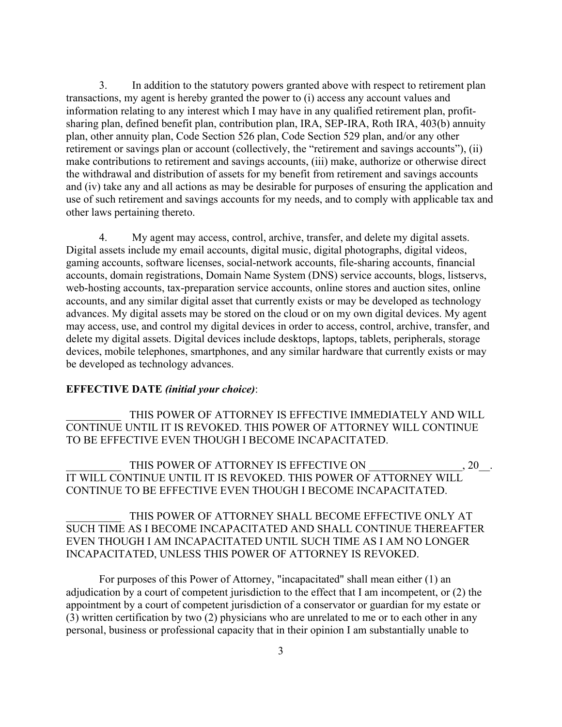3. In addition to the statutory powers granted above with respect to retirement plan transactions, my agent is hereby granted the power to (i) access any account values and information relating to any interest which I may have in any qualified retirement plan, profitsharing plan, defined benefit plan, contribution plan, IRA, SEP-IRA, Roth IRA, 403(b) annuity plan, other annuity plan, Code Section 526 plan, Code Section 529 plan, and/or any other retirement or savings plan or account (collectively, the "retirement and savings accounts"), (ii) make contributions to retirement and savings accounts, (iii) make, authorize or otherwise direct the withdrawal and distribution of assets for my benefit from retirement and savings accounts and (iv) take any and all actions as may be desirable for purposes of ensuring the application and use of such retirement and savings accounts for my needs, and to comply with applicable tax and other laws pertaining thereto.

4. My agent may access, control, archive, transfer, and delete my digital assets. Digital assets include my email accounts, digital music, digital photographs, digital videos, gaming accounts, software licenses, social-network accounts, file-sharing accounts, financial accounts, domain registrations, Domain Name System (DNS) service accounts, blogs, listservs, web-hosting accounts, tax-preparation service accounts, online stores and auction sites, online accounts, and any similar digital asset that currently exists or may be developed as technology advances. My digital assets may be stored on the cloud or on my own digital devices. My agent may access, use, and control my digital devices in order to access, control, archive, transfer, and delete my digital assets. Digital devices include desktops, laptops, tablets, peripherals, storage devices, mobile telephones, smartphones, and any similar hardware that currently exists or may be developed as technology advances.

#### **EFFECTIVE DATE** *(initial your choice)*:

THIS POWER OF ATTORNEY IS EFFECTIVE IMMEDIATELY AND WILL CONTINUE UNTIL IT IS REVOKED. THIS POWER OF ATTORNEY WILL CONTINUE TO BE EFFECTIVE EVEN THOUGH I BECOME INCAPACITATED.

THIS POWER OF ATTORNEY IS EFFECTIVE ON  $\,$  , 20  $\,$  . IT WILL CONTINUE UNTIL IT IS REVOKED. THIS POWER OF ATTORNEY WILL CONTINUE TO BE EFFECTIVE EVEN THOUGH I BECOME INCAPACITATED.

THIS POWER OF ATTORNEY SHALL BECOME EFFECTIVE ONLY AT SUCH TIME AS I BECOME INCAPACITATED AND SHALL CONTINUE THEREAFTER EVEN THOUGH I AM INCAPACITATED UNTIL SUCH TIME AS I AM NO LONGER INCAPACITATED, UNLESS THIS POWER OF ATTORNEY IS REVOKED.

For purposes of this Power of Attorney, "incapacitated" shall mean either (1) an adjudication by a court of competent jurisdiction to the effect that I am incompetent, or (2) the appointment by a court of competent jurisdiction of a conservator or guardian for my estate or (3) written certification by two (2) physicians who are unrelated to me or to each other in any personal, business or professional capacity that in their opinion I am substantially unable to

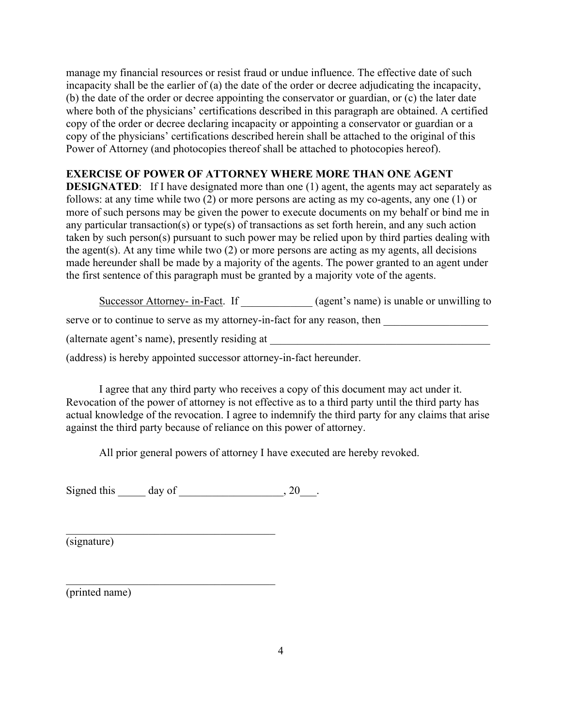manage my financial resources or resist fraud or undue influence. The effective date of such incapacity shall be the earlier of (a) the date of the order or decree adjudicating the incapacity, (b) the date of the order or decree appointing the conservator or guardian, or (c) the later date where both of the physicians' certifications described in this paragraph are obtained. A certified copy of the order or decree declaring incapacity or appointing a conservator or guardian or a copy of the physicians' certifications described herein shall be attached to the original of this Power of Attorney (and photocopies thereof shall be attached to photocopies hereof).

#### **EXERCISE OF POWER OF ATTORNEY WHERE MORE THAN ONE AGENT**

**DESIGNATED:** If I have designated more than one (1) agent, the agents may act separately as follows: at any time while two (2) or more persons are acting as my co-agents, any one (1) or more of such persons may be given the power to execute documents on my behalf or bind me in any particular transaction(s) or type(s) of transactions as set forth herein, and any such action taken by such person(s) pursuant to such power may be relied upon by third parties dealing with the agent(s). At any time while two (2) or more persons are acting as my agents, all decisions made hereunder shall be made by a majority of the agents. The power granted to an agent under the first sentence of this paragraph must be granted by a majority vote of the agents.

Successor Attorney- in-Fact. If  $(agent's name)$  is unable or unwilling to

serve or to continue to serve as my attorney-in-fact for any reason, then

(alternate agent's name), presently residing at

(address) is hereby appointed successor attorney-in-fact hereunder.

I agree that any third party who receives a copy of this document may act under it. Revocation of the power of attorney is not effective as to a third party until the third party has actual knowledge of the revocation. I agree to indemnify the third party for any claims that arise against the third party because of reliance on this power of attorney.

All prior general powers of attorney I have executed are hereby revoked.

Signed this  $\qquad \qquad$  day of  $\qquad \qquad$ , 20.

 $\mathcal{L}_\text{max}$  and  $\mathcal{L}_\text{max}$  and  $\mathcal{L}_\text{max}$  and  $\mathcal{L}_\text{max}$ 

\_\_\_\_\_\_\_\_\_\_\_\_\_\_\_\_\_\_\_\_\_\_\_\_\_\_\_\_\_\_\_\_\_\_\_\_\_\_

(signature)

(printed name)

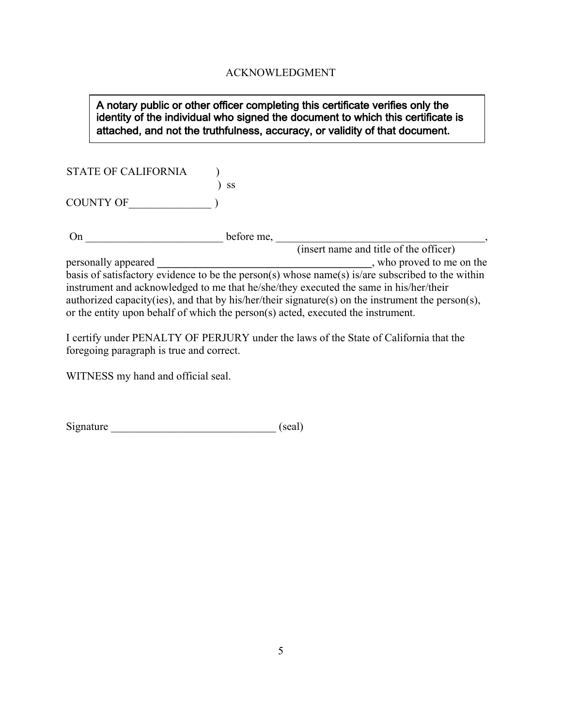# ACKNOWLEDGMENT

### A notary public or other officer completing this certificate verifies only the identity of the individual who signed the document to which this certificate is attached, and not the truthfulness, accuracy, or validity of that document.

STATE OF CALIFORNIA )

COUNTY OF\_\_\_\_\_\_\_\_\_\_\_\_\_\_\_ )

On \_\_\_\_\_\_\_\_\_\_\_\_\_\_\_\_\_\_\_\_\_\_\_\_\_ before me, \_\_\_\_\_\_\_\_\_\_\_\_\_\_\_\_\_\_\_\_\_\_\_\_\_\_\_\_\_\_\_\_\_\_\_\_\_\_,

) ss

(insert name and title of the officer) personally appeared **\_\_\_\_\_\_\_\_\_\_\_\_\_\_\_\_\_\_\_\_\_\_\_\_\_\_\_\_\_\_\_\_\_\_\_\_\_\_\_**, who proved to me on the basis of satisfactory evidence to be the person(s) whose name(s) is/are subscribed to the within instrument and acknowledged to me that he/she/they executed the same in his/her/their authorized capacity(ies), and that by his/her/their signature(s) on the instrument the person(s), or the entity upon behalf of which the person(s) acted, executed the instrument.

I certify under PENALTY OF PERJURY under the laws of the State of California that the foregoing paragraph is true and correct.

WITNESS my hand and official seal.

Signature \_\_\_\_\_\_\_\_\_\_\_\_\_\_\_\_\_\_\_\_\_\_\_\_\_\_\_\_\_\_ (seal)